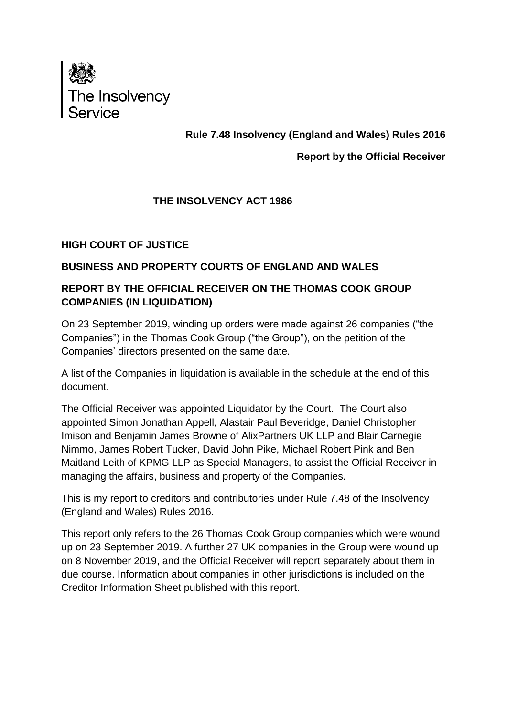

# **Rule 7.48 Insolvency (England and Wales) Rules 2016**

## **Report by the Official Receiver**

# **THE INSOLVENCY ACT 1986**

## **HIGH COURT OF JUSTICE**

### **BUSINESS AND PROPERTY COURTS OF ENGLAND AND WALES**

## **REPORT BY THE OFFICIAL RECEIVER ON THE THOMAS COOK GROUP COMPANIES (IN LIQUIDATION)**

On 23 September 2019, winding up orders were made against 26 companies ("the Companies") in the Thomas Cook Group ("the Group"), on the petition of the Companies' directors presented on the same date.

A list of the Companies in liquidation is available in the schedule at the end of this document.

The Official Receiver was appointed Liquidator by the Court. The Court also appointed Simon Jonathan Appell, Alastair Paul Beveridge, Daniel Christopher Imison and Benjamin James Browne of AlixPartners UK LLP and Blair Carnegie Nimmo, James Robert Tucker, David John Pike, Michael Robert Pink and Ben Maitland Leith of KPMG LLP as Special Managers, to assist the Official Receiver in managing the affairs, business and property of the Companies.

This is my report to creditors and contributories under Rule 7.48 of the Insolvency (England and Wales) Rules 2016.

This report only refers to the 26 Thomas Cook Group companies which were wound up on 23 September 2019. A further 27 UK companies in the Group were wound up on 8 November 2019, and the Official Receiver will report separately about them in due course. Information about companies in other jurisdictions is included on the Creditor Information Sheet published with this report.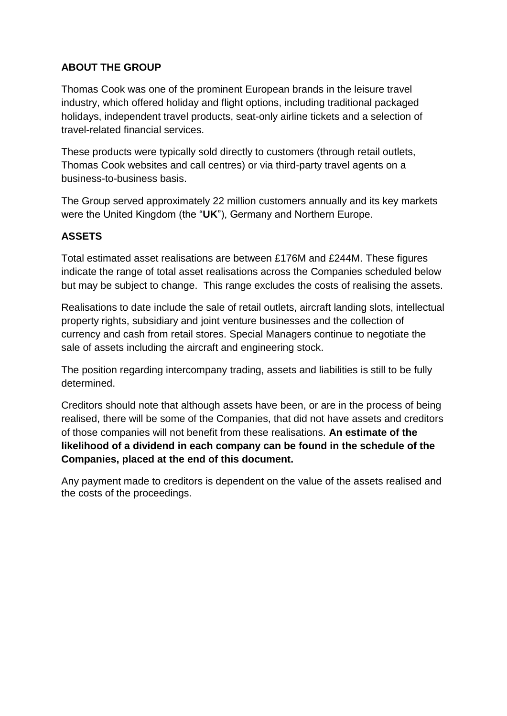# **ABOUT THE GROUP**

Thomas Cook was one of the prominent European brands in the leisure travel industry, which offered holiday and flight options, including traditional packaged holidays, independent travel products, seat-only airline tickets and a selection of travel-related financial services.

These products were typically sold directly to customers (through retail outlets, Thomas Cook websites and call centres) or via third-party travel agents on a business-to-business basis.

The Group served approximately 22 million customers annually and its key markets were the United Kingdom (the "**UK**"), Germany and Northern Europe.

## **ASSETS**

Total estimated asset realisations are between £176M and £244M. These figures indicate the range of total asset realisations across the Companies scheduled below but may be subject to change. This range excludes the costs of realising the assets.

Realisations to date include the sale of retail outlets, aircraft landing slots, intellectual property rights, subsidiary and joint venture businesses and the collection of currency and cash from retail stores. Special Managers continue to negotiate the sale of assets including the aircraft and engineering stock.

The position regarding intercompany trading, assets and liabilities is still to be fully determined.

Creditors should note that although assets have been, or are in the process of being realised, there will be some of the Companies, that did not have assets and creditors of those companies will not benefit from these realisations. **An estimate of the likelihood of a dividend in each company can be found in the schedule of the Companies, placed at the end of this document.**

Any payment made to creditors is dependent on the value of the assets realised and the costs of the proceedings.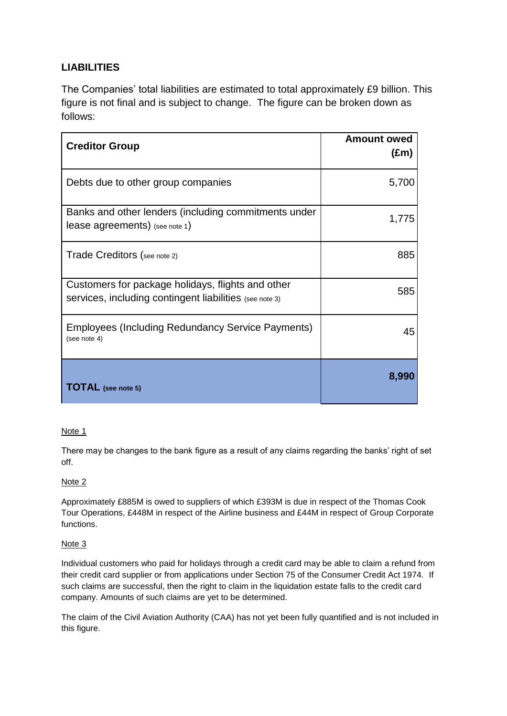# **LIABILITIES**

The Companies' total liabilities are estimated to total approximately £9 billion. This figure is not final and is subject to change. The figure can be broken down as follows:

| <b>Creditor Group</b>                                                                                        | <b>Amount owed</b><br>(£m) |
|--------------------------------------------------------------------------------------------------------------|----------------------------|
| Debts due to other group companies                                                                           | 5,700                      |
| Banks and other lenders (including commitments under<br>lease agreements) (see note 1)                       | 1,775                      |
| Trade Creditors (see note 2)                                                                                 | 885                        |
| Customers for package holidays, flights and other<br>services, including contingent liabilities (see note 3) | 585                        |
| Employees (Including Redundancy Service Payments)<br>(see note 4)                                            | 45                         |
| <b>TOTAL</b> (see note 5)                                                                                    | 8,990                      |

#### Note 1

There may be changes to the bank figure as a result of any claims regarding the banks' right of set off.

#### Note 2

Approximately £885M is owed to suppliers of which £393M is due in respect of the Thomas Cook Tour Operations, £448M in respect of the Airline business and £44M in respect of Group Corporate functions.

#### Note 3

Individual customers who paid for holidays through a credit card may be able to claim a refund from their credit card supplier or from applications under Section 75 of the Consumer Credit Act 1974. If such claims are successful, then the right to claim in the liquidation estate falls to the credit card company. Amounts of such claims are yet to be determined.

The claim of the Civil Aviation Authority (CAA) has not yet been fully quantified and is not included in this figure.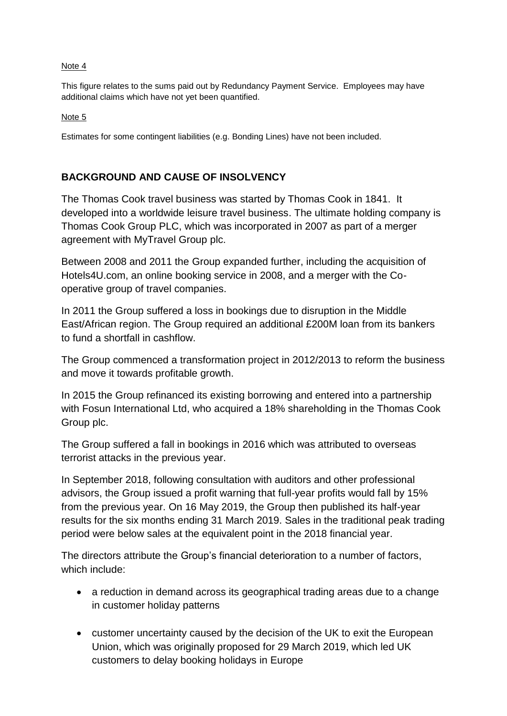#### Note 4

This figure relates to the sums paid out by Redundancy Payment Service. Employees may have additional claims which have not yet been quantified.

Note 5

Estimates for some contingent liabilities (e.g. Bonding Lines) have not been included.

### **BACKGROUND AND CAUSE OF INSOLVENCY**

The Thomas Cook travel business was started by Thomas Cook in 1841. It developed into a worldwide leisure travel business. The ultimate holding company is Thomas Cook Group PLC, which was incorporated in 2007 as part of a merger agreement with MyTravel Group plc.

Between 2008 and 2011 the Group expanded further, including the acquisition of Hotels4U.com, an online booking service in 2008, and a merger with the Cooperative group of travel companies.

In 2011 the Group suffered a loss in bookings due to disruption in the Middle East/African region. The Group required an additional £200M loan from its bankers to fund a shortfall in cashflow.

The Group commenced a transformation project in 2012/2013 to reform the business and move it towards profitable growth.

In 2015 the Group refinanced its existing borrowing and entered into a partnership with Fosun International Ltd, who acquired a 18% shareholding in the Thomas Cook Group plc.

The Group suffered a fall in bookings in 2016 which was attributed to overseas terrorist attacks in the previous year.

In September 2018, following consultation with auditors and other professional advisors, the Group issued a profit warning that full-year profits would fall by 15% from the previous year. On 16 May 2019, the Group then published its half-year results for the six months ending 31 March 2019. Sales in the traditional peak trading period were below sales at the equivalent point in the 2018 financial year.

The directors attribute the Group's financial deterioration to a number of factors, which include:

- a reduction in demand across its geographical trading areas due to a change in customer holiday patterns
- customer uncertainty caused by the decision of the UK to exit the European Union, which was originally proposed for 29 March 2019, which led UK customers to delay booking holidays in Europe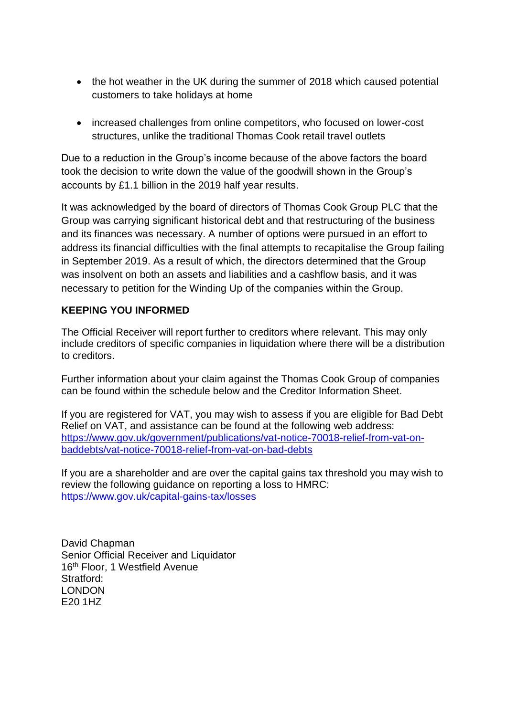- the hot weather in the UK during the summer of 2018 which caused potential customers to take holidays at home
- increased challenges from online competitors, who focused on lower-cost structures, unlike the traditional Thomas Cook retail travel outlets

Due to a reduction in the Group's income because of the above factors the board took the decision to write down the value of the goodwill shown in the Group's accounts by £1.1 billion in the 2019 half year results.

It was acknowledged by the board of directors of Thomas Cook Group PLC that the Group was carrying significant historical debt and that restructuring of the business and its finances was necessary. A number of options were pursued in an effort to address its financial difficulties with the final attempts to recapitalise the Group failing in September 2019. As a result of which, the directors determined that the Group was insolvent on both an assets and liabilities and a cashflow basis, and it was necessary to petition for the Winding Up of the companies within the Group.

## **KEEPING YOU INFORMED**

The Official Receiver will report further to creditors where relevant. This may only include creditors of specific companies in liquidation where there will be a distribution to creditors.

Further information about your claim against the Thomas Cook Group of companies can be found within the schedule below and the Creditor Information Sheet.

If you are registered for VAT, you may wish to assess if you are eligible for Bad Debt Relief on VAT, and assistance can be found at the following web address: [https://www.gov.uk/government/publications/vat-notice-70018-relief-from-vat-on](https://www.gov.uk/government/publications/vat-notice-70018-relief-from-vat-on-baddebts/vat-notice-70018-relief-from-vat-on-bad-debts)[baddebts/vat-notice-70018-relief-from-vat-on-bad-debts](https://www.gov.uk/government/publications/vat-notice-70018-relief-from-vat-on-baddebts/vat-notice-70018-relief-from-vat-on-bad-debts)

If you are a shareholder and are over the capital gains tax threshold you may wish to review the following guidance on reporting a loss to HMRC: https://www.gov.uk/capital-gains-tax/losses

David Chapman Senior Official Receiver and Liquidator 16<sup>th</sup> Floor, 1 Westfield Avenue Stratford: LONDON E20 1HZ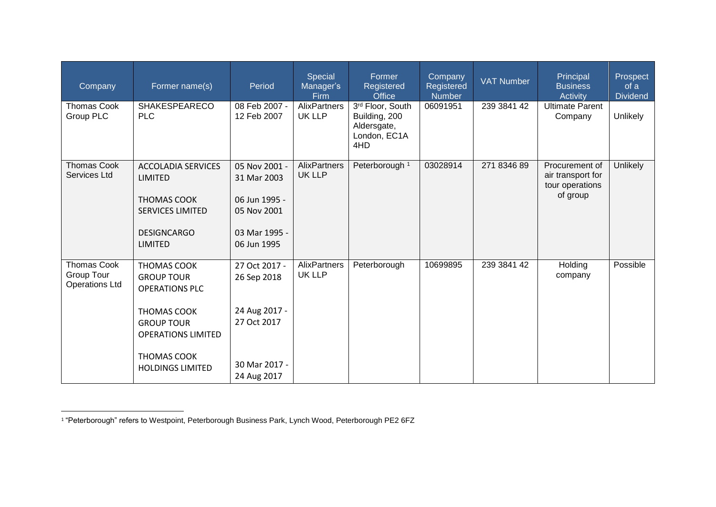| Company                                                   | Former name(s)                                                                                                                                                       | Period                                                                                       | Special<br>Manager's<br>Firm  | Former<br>Registered<br><b>Office</b>                                   | Company<br>Registered<br><b>Number</b> | <b>VAT Number</b> | Principal<br><b>Business</b><br>Activity                           | Prospect<br>of a<br><b>Dividend</b> |
|-----------------------------------------------------------|----------------------------------------------------------------------------------------------------------------------------------------------------------------------|----------------------------------------------------------------------------------------------|-------------------------------|-------------------------------------------------------------------------|----------------------------------------|-------------------|--------------------------------------------------------------------|-------------------------------------|
| <b>Thomas Cook</b><br>Group PLC                           | <b>SHAKESPEARECO</b><br><b>PLC</b>                                                                                                                                   | 08 Feb 2007 -<br>12 Feb 2007                                                                 | <b>AlixPartners</b><br>UK LLP | 3rd Floor, South<br>Building, 200<br>Aldersgate,<br>London, EC1A<br>4HD | 06091951                               | 239 3841 42       | <b>Ultimate Parent</b><br>Company                                  | Unlikely                            |
| <b>Thomas Cook</b><br>Services Ltd                        | <b>ACCOLADIA SERVICES</b><br><b>LIMITED</b><br><b>THOMAS COOK</b><br><b>SERVICES LIMITED</b><br><b>DESIGNCARGO</b><br><b>LIMITED</b>                                 | 05 Nov 2001 -<br>31 Mar 2003<br>06 Jun 1995 -<br>05 Nov 2001<br>03 Mar 1995 -<br>06 Jun 1995 | <b>AlixPartners</b><br>UK LLP | Peterborough <sup>1</sup>                                               | 03028914                               | 271 8346 89       | Procurement of<br>air transport for<br>tour operations<br>of group | Unlikely                            |
| <b>Thomas Cook</b><br>Group Tour<br><b>Operations Ltd</b> | THOMAS COOK<br><b>GROUP TOUR</b><br><b>OPERATIONS PLC</b><br>THOMAS COOK<br><b>GROUP TOUR</b><br><b>OPERATIONS LIMITED</b><br>THOMAS COOK<br><b>HOLDINGS LIMITED</b> | 27 Oct 2017 -<br>26 Sep 2018<br>24 Aug 2017 -<br>27 Oct 2017<br>30 Mar 2017 -<br>24 Aug 2017 | <b>AlixPartners</b><br>UK LLP | Peterborough                                                            | 10699895                               | 239 3841 42       | Holding<br>company                                                 | Possible                            |

 1 "Peterborough" refers to Westpoint, Peterborough Business Park, Lynch Wood, Peterborough PE2 6FZ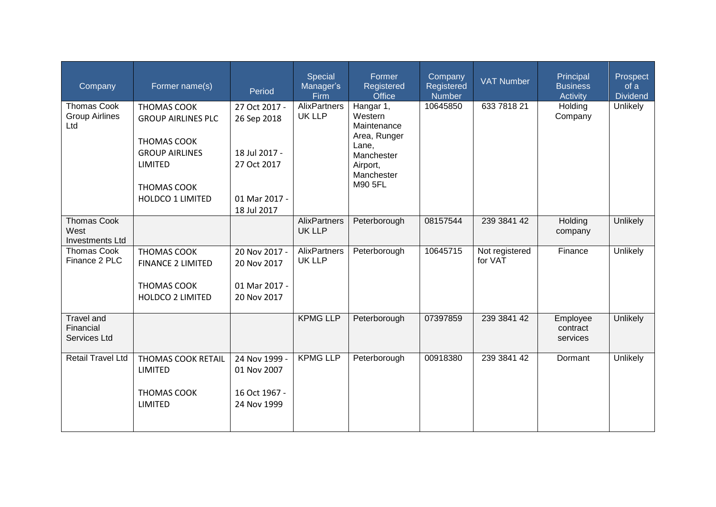| Company                                              | Former name(s)                                                                                                                               | Period                                                                                       | Special<br>Manager's<br>Firm  | Former<br>Registered<br><b>Office</b>                                                                           | Company<br>Registered<br><b>Number</b> | <b>VAT Number</b>         | Principal<br><b>Business</b><br>Activity | Prospect<br>of a<br><b>Dividend</b> |
|------------------------------------------------------|----------------------------------------------------------------------------------------------------------------------------------------------|----------------------------------------------------------------------------------------------|-------------------------------|-----------------------------------------------------------------------------------------------------------------|----------------------------------------|---------------------------|------------------------------------------|-------------------------------------|
| <b>Thomas Cook</b><br><b>Group Airlines</b><br>Ltd   | THOMAS COOK<br><b>GROUP AIRLINES PLC</b><br>THOMAS COOK<br><b>GROUP AIRLINES</b><br>LIMITED<br><b>THOMAS COOK</b><br><b>HOLDCO 1 LIMITED</b> | 27 Oct 2017 -<br>26 Sep 2018<br>18 Jul 2017 -<br>27 Oct 2017<br>01 Mar 2017 -<br>18 Jul 2017 | AlixPartners<br>UK LLP        | Hangar 1,<br>Western<br>Maintenance<br>Area, Runger<br>Lane,<br>Manchester<br>Airport,<br>Manchester<br>M90 5FL | 10645850                               | 633 7818 21               | Holding<br>Company                       | Unlikely                            |
| <b>Thomas Cook</b><br>West<br><b>Investments Ltd</b> |                                                                                                                                              |                                                                                              | AlixPartners<br>UK LLP        | Peterborough                                                                                                    | 08157544                               | 239 3841 42               | Holding<br>company                       | Unlikely                            |
| <b>Thomas Cook</b><br>Finance 2 PLC                  | THOMAS COOK<br><b>FINANCE 2 LIMITED</b><br><b>THOMAS COOK</b><br><b>HOLDCO 2 LIMITED</b>                                                     | 20 Nov 2017 -<br>20 Nov 2017<br>01 Mar 2017 -<br>20 Nov 2017                                 | <b>AlixPartners</b><br>UK LLP | Peterborough                                                                                                    | 10645715                               | Not registered<br>for VAT | Finance                                  | Unlikely                            |
| Travel and<br>Financial<br>Services Ltd              |                                                                                                                                              |                                                                                              | <b>KPMG LLP</b>               | Peterborough                                                                                                    | 07397859                               | 239 3841 42               | Employee<br>contract<br>services         | Unlikely                            |
| Retail Travel Ltd                                    | <b>THOMAS COOK RETAIL</b><br>LIMITED<br><b>THOMAS COOK</b><br>LIMITED                                                                        | 24 Nov 1999 -<br>01 Nov 2007<br>16 Oct 1967 -<br>24 Nov 1999                                 | <b>KPMG LLP</b>               | Peterborough                                                                                                    | 00918380                               | 239 3841 42               | Dormant                                  | Unlikely                            |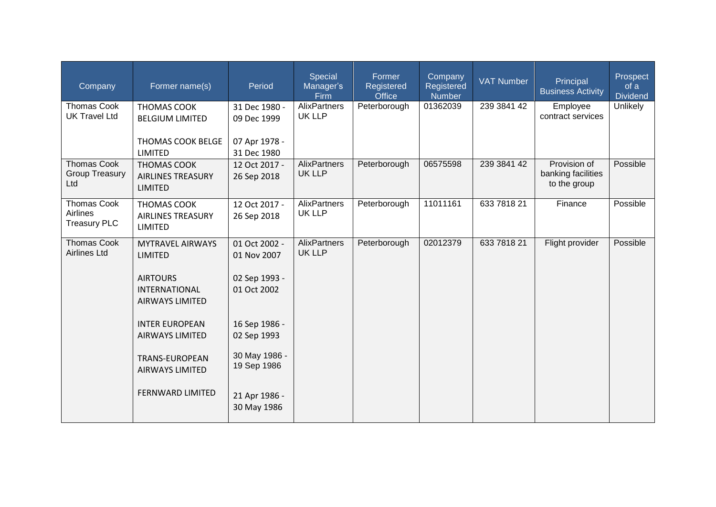| Company                                                   | Former name(s)                                             | Period                       | <b>Special</b><br>Manager's<br>Firm  | Former<br>Registered<br>Office | Company<br>Registered<br><b>Number</b> | <b>VAT Number</b> | Principal<br><b>Business Activity</b>              | Prospect<br>of a<br><b>Dividend</b> |
|-----------------------------------------------------------|------------------------------------------------------------|------------------------------|--------------------------------------|--------------------------------|----------------------------------------|-------------------|----------------------------------------------------|-------------------------------------|
| <b>Thomas Cook</b><br><b>UK Travel Ltd</b>                | THOMAS COOK<br><b>BELGIUM LIMITED</b>                      | 31 Dec 1980 -<br>09 Dec 1999 | <b>AlixPartners</b><br>UK LLP        | Peterborough                   | 01362039                               | 239 3841 42       | Employee<br>contract services                      | Unlikely                            |
|                                                           | THOMAS COOK BELGE<br>LIMITED                               | 07 Apr 1978 -<br>31 Dec 1980 |                                      |                                |                                        |                   |                                                    |                                     |
| <b>Thomas Cook</b><br><b>Group Treasury</b><br><b>Ltd</b> | THOMAS COOK<br>AIRLINES TREASURY<br>LIMITED                | 12 Oct 2017 -<br>26 Sep 2018 | AlixPartners<br>UK LLP               | Peterborough                   | 06575598                               | 239 3841 42       | Provision of<br>banking facilities<br>to the group | Possible                            |
| <b>Thomas Cook</b><br>Airlines<br><b>Treasury PLC</b>     | THOMAS COOK<br><b>AIRLINES TREASURY</b><br>LIMITED         | 12 Oct 2017 -<br>26 Sep 2018 | <b>AlixPartners</b><br>UK LLP        | Peterborough                   | 11011161                               | 633 7818 21       | Finance                                            | Possible                            |
| <b>Thomas Cook</b><br><b>Airlines Ltd</b>                 | MYTRAVEL AIRWAYS<br>LIMITED                                | 01 Oct 2002 -<br>01 Nov 2007 | <b>AlixPartners</b><br><b>UK LLP</b> | Peterborough                   | 02012379                               | 633 7818 21       | Flight provider                                    | Possible                            |
|                                                           | <b>AIRTOURS</b><br>INTERNATIONAL<br><b>AIRWAYS LIMITED</b> | 02 Sep 1993 -<br>01 Oct 2002 |                                      |                                |                                        |                   |                                                    |                                     |
|                                                           | <b>INTER EUROPEAN</b><br><b>AIRWAYS LIMITED</b>            | 16 Sep 1986 -<br>02 Sep 1993 |                                      |                                |                                        |                   |                                                    |                                     |
|                                                           | <b>TRANS-EUROPEAN</b><br><b>AIRWAYS LIMITED</b>            | 30 May 1986 -<br>19 Sep 1986 |                                      |                                |                                        |                   |                                                    |                                     |
|                                                           | <b>FERNWARD LIMITED</b>                                    | 21 Apr 1986 -<br>30 May 1986 |                                      |                                |                                        |                   |                                                    |                                     |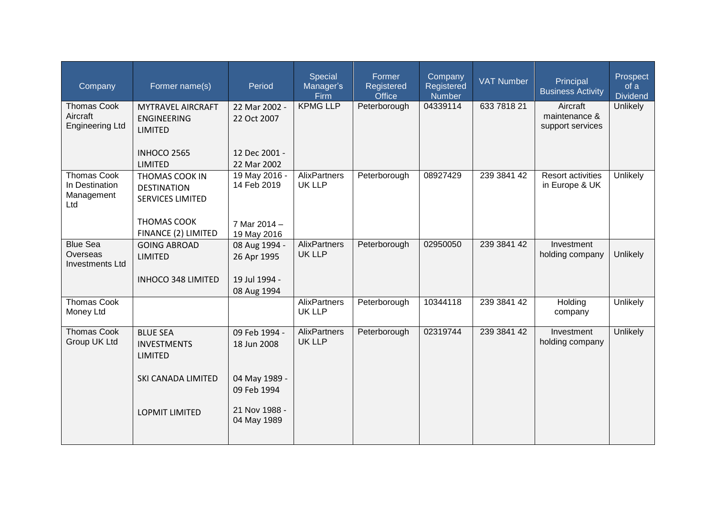| Company                                                   | Former name(s)                                                  | Period                       | Special<br>Manager's<br>Firm  | Former<br>Registered<br>Office | Company<br>Registered<br><b>Number</b> | <b>VAT Number</b> | Principal<br><b>Business Activity</b>         | Prospect<br>of a<br>Dividend |
|-----------------------------------------------------------|-----------------------------------------------------------------|------------------------------|-------------------------------|--------------------------------|----------------------------------------|-------------------|-----------------------------------------------|------------------------------|
| <b>Thomas Cook</b><br>Aircraft<br><b>Engineering Ltd</b>  | <b>MYTRAVEL AIRCRAFT</b><br><b>ENGINEERING</b><br>LIMITED       | 22 Mar 2002 -<br>22 Oct 2007 | <b>KPMG LLP</b>               | Peterborough                   | 04339114                               | 633 7818 21       | Aircraft<br>maintenance &<br>support services | Unlikely                     |
|                                                           | <b>INHOCO 2565</b><br>LIMITED                                   | 12 Dec 2001 -<br>22 Mar 2002 |                               |                                |                                        |                   |                                               |                              |
| <b>Thomas Cook</b><br>In Destination<br>Management<br>Ltd | THOMAS COOK IN<br><b>DESTINATION</b><br><b>SERVICES LIMITED</b> | 19 May 2016 -<br>14 Feb 2019 | <b>AlixPartners</b><br>UK LLP | Peterborough                   | 08927429                               | 239 3841 42       | <b>Resort activities</b><br>in Europe & UK    | Unlikely                     |
|                                                           | <b>THOMAS COOK</b><br>FINANCE (2) LIMITED                       | 7 Mar 2014 -<br>19 May 2016  |                               |                                |                                        |                   |                                               |                              |
| <b>Blue Sea</b><br>Overseas<br><b>Investments Ltd</b>     | <b>GOING ABROAD</b><br>LIMITED                                  | 08 Aug 1994 -<br>26 Apr 1995 | AlixPartners<br>UK LLP        | Peterborough                   | 02950050                               | 239 3841 42       | Investment<br>holding company                 | Unlikely                     |
|                                                           | <b>INHOCO 348 LIMITED</b>                                       | 19 Jul 1994 -<br>08 Aug 1994 |                               |                                |                                        |                   |                                               |                              |
| <b>Thomas Cook</b><br>Money Ltd                           |                                                                 |                              | <b>AlixPartners</b><br>UK LLP | Peterborough                   | 10344118                               | 239 3841 42       | Holding<br>company                            | <b>Unlikely</b>              |
| <b>Thomas Cook</b><br>Group UK Ltd                        | <b>BLUE SEA</b><br><b>INVESTMENTS</b><br>LIMITED                | 09 Feb 1994 -<br>18 Jun 2008 | AlixPartners<br>UK LLP        | Peterborough                   | 02319744                               | 239 3841 42       | Investment<br>holding company                 | Unlikely                     |
|                                                           | SKI CANADA LIMITED                                              | 04 May 1989 -<br>09 Feb 1994 |                               |                                |                                        |                   |                                               |                              |
|                                                           | <b>LOPMIT LIMITED</b>                                           | 21 Nov 1988 -<br>04 May 1989 |                               |                                |                                        |                   |                                               |                              |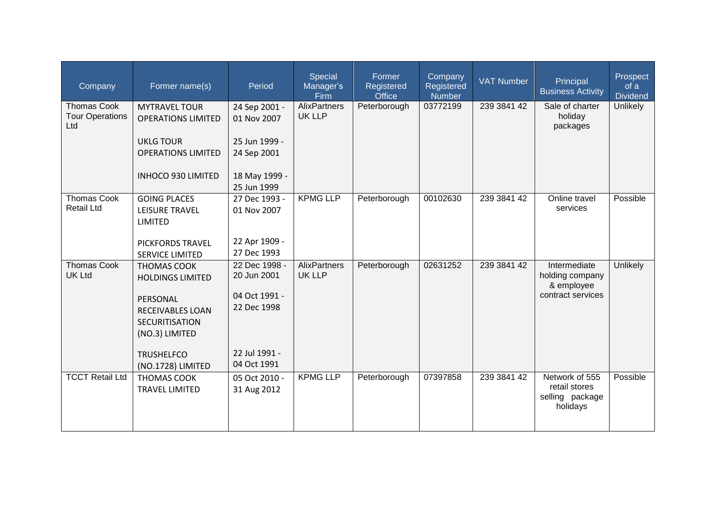| Company                                             | Former name(s)                                                          | Period                       | Special<br>Manager's<br>Firm  | Former<br>Registered<br><b>Office</b> | Company<br>Registered<br><b>Number</b> | <b>VAT Number</b> | Principal<br><b>Business Activity</b>                          | Prospect<br>of a<br><b>Dividend</b> |
|-----------------------------------------------------|-------------------------------------------------------------------------|------------------------------|-------------------------------|---------------------------------------|----------------------------------------|-------------------|----------------------------------------------------------------|-------------------------------------|
| <b>Thomas Cook</b><br><b>Tour Operations</b><br>Ltd | <b>MYTRAVEL TOUR</b><br><b>OPERATIONS LIMITED</b>                       | 24 Sep 2001 -<br>01 Nov 2007 | <b>AlixPartners</b><br>UK LLP | Peterborough                          | 03772199                               | 239 3841 42       | Sale of charter<br>holiday<br>packages                         | Unlikely                            |
|                                                     | <b>UKLG TOUR</b>                                                        | 25 Jun 1999 -                |                               |                                       |                                        |                   |                                                                |                                     |
|                                                     | <b>OPERATIONS LIMITED</b>                                               | 24 Sep 2001                  |                               |                                       |                                        |                   |                                                                |                                     |
|                                                     | <b>INHOCO 930 LIMITED</b>                                               | 18 May 1999 -<br>25 Jun 1999 |                               |                                       |                                        |                   |                                                                |                                     |
| <b>Thomas Cook</b>                                  | <b>GOING PLACES</b>                                                     | 27 Dec 1993 -                | <b>KPMG LLP</b>               | Peterborough                          | 00102630                               | 239 3841 42       | Online travel                                                  | Possible                            |
| <b>Retail Ltd</b>                                   | <b>LEISURE TRAVEL</b>                                                   | 01 Nov 2007                  |                               |                                       |                                        |                   | services                                                       |                                     |
|                                                     | LIMITED                                                                 |                              |                               |                                       |                                        |                   |                                                                |                                     |
|                                                     | <b>PICKFORDS TRAVEL</b>                                                 | 22 Apr 1909 -                |                               |                                       |                                        |                   |                                                                |                                     |
|                                                     | <b>SERVICE LIMITED</b>                                                  | 27 Dec 1993                  |                               |                                       |                                        |                   |                                                                |                                     |
| <b>Thomas Cook</b><br><b>UK Ltd</b>                 | <b>THOMAS COOK</b><br><b>HOLDINGS LIMITED</b>                           | 22 Dec 1998 -<br>20 Jun 2001 | AlixPartners<br>UK LLP        | Peterborough                          | 02631252                               | 239 3841 42       | Intermediate<br>holding company<br>& employee                  | <b>Unlikely</b>                     |
|                                                     | PERSONAL<br><b>RECEIVABLES LOAN</b><br>SECURITISATION<br>(NO.3) LIMITED | 04 Oct 1991 -<br>22 Dec 1998 |                               |                                       |                                        |                   | contract services                                              |                                     |
|                                                     | <b>TRUSHELFCO</b><br>(NO.1728) LIMITED                                  | 22 Jul 1991 -<br>04 Oct 1991 |                               |                                       |                                        |                   |                                                                |                                     |
| <b>TCCT Retail Ltd</b>                              | THOMAS COOK<br><b>TRAVEL LIMITED</b>                                    | 05 Oct 2010 -<br>31 Aug 2012 | <b>KPMG LLP</b>               | Peterborough                          | 07397858                               | 239 3841 42       | Network of 555<br>retail stores<br>selling package<br>holidays | Possible                            |